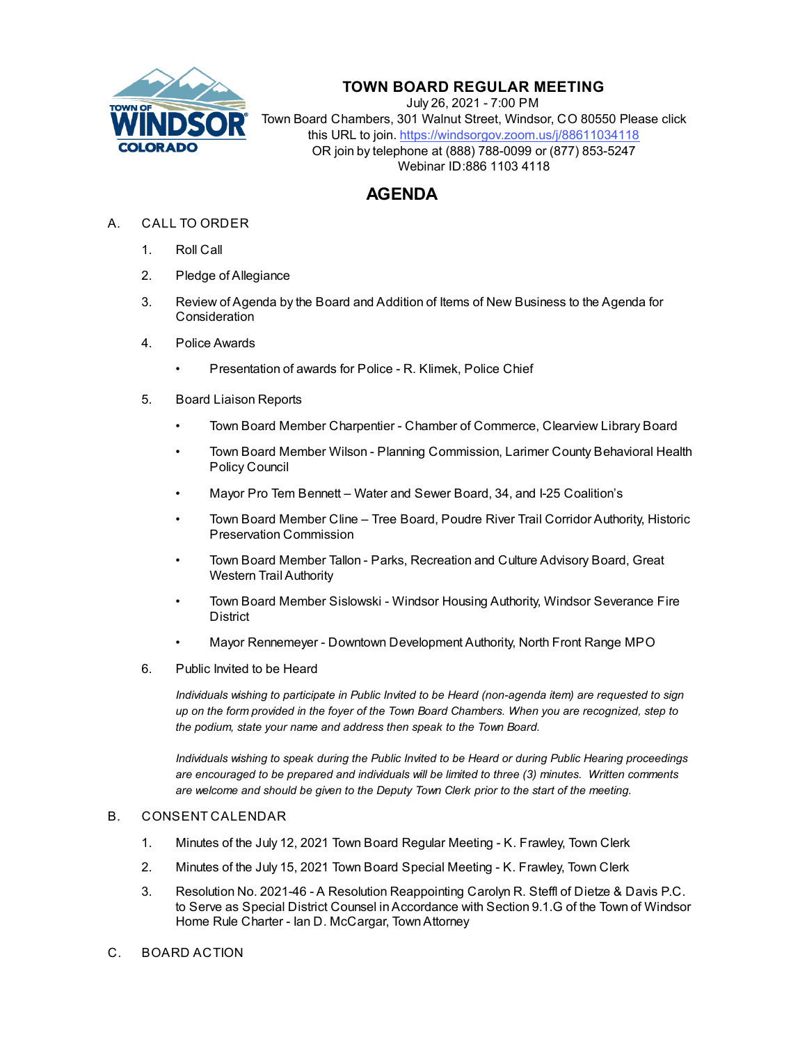

# **TOWN BOARD REGULAR MEETING**

July 26, 2021 - 7:00 PM Town Board Chambers, 301 Walnut Street, Windsor, CO 80550 Please click this URL to join. https://windsorgov.zoom.us/j/88611034118 OR join by telephone at (888) 788-0099 or (877) 853-5247 Webinar ID:886 1103 4118

# **AGENDA**

- A. CALL TO ORDER
	- 1. Roll Call
	- 2. Pledge of Allegiance
	- 3. Review of Agenda by the Board and Addition of Items of New Business to the Agenda for **Consideration**
	- 4. Police Awards
		- [Presentation of awards for Police R. Klimek, Police Chief](file:///C:/Windows/TEMP/CoverSheet.aspx?ItemID=1559&MeetingID=269)
	- 5. Board Liaison Reports
		- Town Board Member Charpentier Chamber of Commerce, Clearview Library Board
		- Town Board Member Wilson Planning Commission, Larimer County Behavioral Health Policy Council
		- Mayor Pro Tem Bennett Water and Sewer Board, 34, and I-25 Coalition's
		- Town Board Member Cline Tree Board, Poudre River Trail Corridor Authority, Historic Preservation Commission
		- Town Board Member Tallon Parks, Recreation and Culture Advisory Board, Great Western Trail Authority
		- Town Board Member Sislowski Windsor Housing Authority, Windsor Severance Fire **District**
		- Mayor Rennemeyer Downtown Development Authority, North Front Range MPO
	- 6. Public Invited to be Heard

*Individuals wishing to participate in Public Invited to be Heard (non-agenda item) are requested to sign up on the form provided in the foyer of the Town Board Chambers. When you are recognized, step to the podium, state your name and address then speak to the Town Board.*

*Individuals wishing to speak during the Public Invited to be Heard or during Public Hearing proceedings are encouraged to be prepared and individuals will be limited to three (3) minutes. Written comments are welcome and should be given to the Deputy Town Clerk prior to the start of the meeting.*

## B. CONSENT CALENDAR

- 1. [Minutes of the July 12, 2021 Town Board Regular Meeting K. Frawley, Town Clerk](file:///C:/Windows/TEMP/CoverSheet.aspx?ItemID=1552&MeetingID=269)
- 2. [Minutes of the July 15, 2021 Town Board Special Meeting K. Frawley, Town Clerk](file:///C:/Windows/TEMP/CoverSheet.aspx?ItemID=1553&MeetingID=269)
- 3. Resolution No. 2021-46 A Resolution Reappointing Carolyn R. Steffl of Dietze & Davis P.C. [to Serve as Special District Counsel in Accordance with Section 9.1.G of the Town of Windsor](file:///C:/Windows/TEMP/CoverSheet.aspx?ItemID=1548&MeetingID=269) Home Rule Charter - Ian D. McCargar, Town Attorney
- C. BOARD ACTION